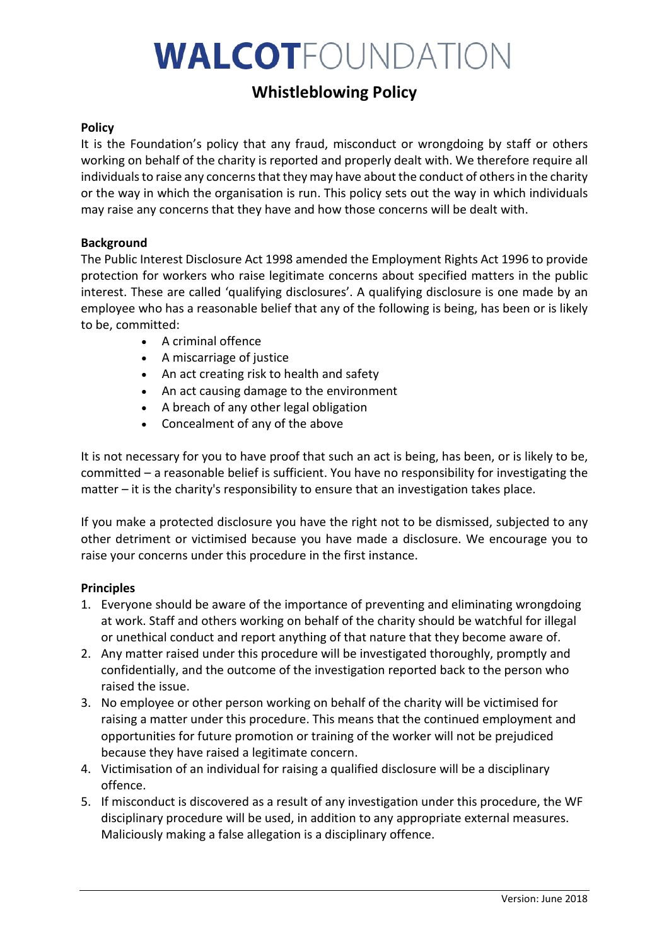# WALCOTFOUNDATION

# **Whistleblowing Policy**

# **Policy**

It is the Foundation's policy that any fraud, misconduct or wrongdoing by staff or others working on behalf of the charity is reported and properly dealt with. We therefore require all individuals to raise any concerns that they may have about the conduct of others in the charity or the way in which the organisation is run. This policy sets out the way in which individuals may raise any concerns that they have and how those concerns will be dealt with.

#### **Background**

The Public Interest Disclosure Act 1998 amended the Employment Rights Act 1996 to provide protection for workers who raise legitimate concerns about specified matters in the public interest. These are called 'qualifying disclosures'. A qualifying disclosure is one made by an employee who has a reasonable belief that any of the following is being, has been or is likely to be, committed:

- A criminal offence
- A miscarriage of justice
- An act creating risk to health and safety
- An act causing damage to the environment
- A breach of any other legal obligation
- Concealment of any of the above

It is not necessary for you to have proof that such an act is being, has been, or is likely to be, committed – a reasonable belief is sufficient. You have no responsibility for investigating the matter – it is the charity's responsibility to ensure that an investigation takes place.

If you make a protected disclosure you have the right not to be dismissed, subjected to any other detriment or victimised because you have made a disclosure. We encourage you to raise your concerns under this procedure in the first instance.

#### **Principles**

- 1. Everyone should be aware of the importance of preventing and eliminating wrongdoing at work. Staff and others working on behalf of the charity should be watchful for illegal or unethical conduct and report anything of that nature that they become aware of.
- 2. Any matter raised under this procedure will be investigated thoroughly, promptly and confidentially, and the outcome of the investigation reported back to the person who raised the issue.
- 3. No employee or other person working on behalf of the charity will be victimised for raising a matter under this procedure. This means that the continued employment and opportunities for future promotion or training of the worker will not be prejudiced because they have raised a legitimate concern.
- 4. Victimisation of an individual for raising a qualified disclosure will be a disciplinary offence.
- 5. If misconduct is discovered as a result of any investigation under this procedure, the WF disciplinary procedure will be used, in addition to any appropriate external measures. Maliciously making a false allegation is a disciplinary offence.